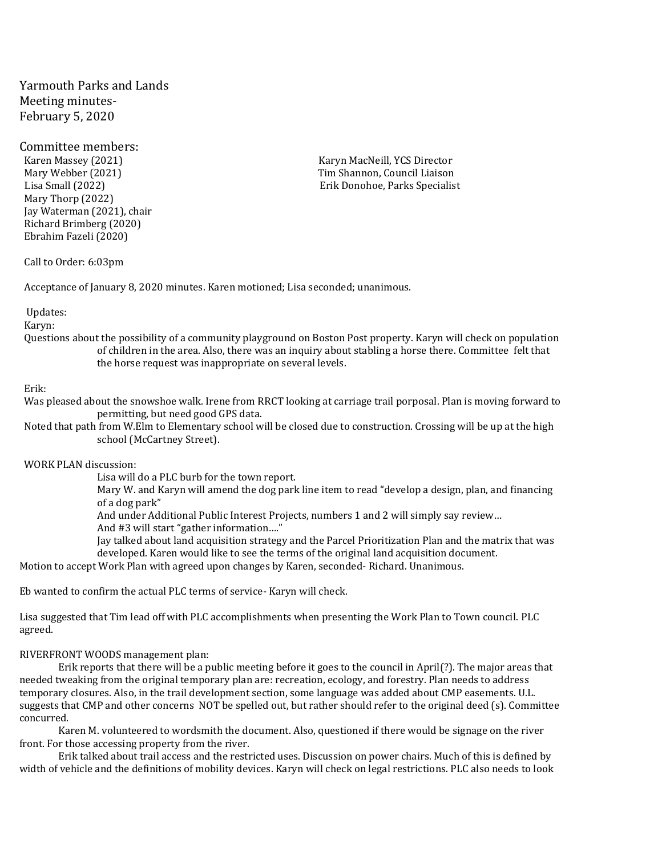Yarmouth Parks and Lands Meeting minutes-February 5, 2020

# Committee members:

Karen Massey (2021) The Contractor Carena Karyn MacNeill, YCS Director Contractor Contractor Contractor Contractor Mary Thorp (2022) Jay Waterman (2021), chair Richard Brimberg (2020) Ebrahim Fazeli (2020)

Mary Webber (2021) Tim Shannon, Council Liaison Lisa Small (2022) Erik Donohoe, Parks Specialist

## Call to Order: 6:03pm

Acceptance of January 8, 2020 minutes. Karen motioned; Lisa seconded; unanimous.

### Updates:

Karyn:

Questions about the possibility of a community playground on Boston Post property. Karyn will check on population of children in the area. Also, there was an inquiry about stabling a horse there. Committee felt that the horse request was inappropriate on several levels.

#### Erik:

Was pleased about the snowshoe walk. Irene from RRCT looking at carriage trail porposal. Plan is moving forward to permitting, but need good GPS data.

Noted that path from W.Elm to Elementary school will be closed due to construction. Crossing will be up at the high school (McCartney Street).

WORK PLAN discussion:

Lisa will do a PLC burb for the town report.

Mary W. and Karyn will amend the dog park line item to read "develop a design, plan, and financing of a dog park"

And under Additional Public Interest Projects, numbers 1 and 2 will simply say review…

And #3 will start "gather information…."

Jay talked about land acquisition strategy and the Parcel Prioritization Plan and the matrix that was developed. Karen would like to see the terms of the original land acquisition document.

Motion to accept Work Plan with agreed upon changes by Karen, seconded- Richard. Unanimous.

Eb wanted to confirm the actual PLC terms of service- Karyn will check.

Lisa suggested that Tim lead off with PLC accomplishments when presenting the Work Plan to Town council. PLC agreed.

### RIVERFRONT WOODS management plan:

Erik reports that there will be a public meeting before it goes to the council in April(?). The major areas that needed tweaking from the original temporary plan are: recreation, ecology, and forestry. Plan needs to address temporary closures. Also, in the trail development section, some language was added about CMP easements. U.L. suggests that CMP and other concerns NOT be spelled out, but rather should refer to the original deed (s). Committee concurred.

Karen M. volunteered to wordsmith the document. Also, questioned if there would be signage on the river front. For those accessing property from the river.

Erik talked about trail access and the restricted uses. Discussion on power chairs. Much of this is defined by width of vehicle and the definitions of mobility devices. Karyn will check on legal restrictions. PLC also needs to look